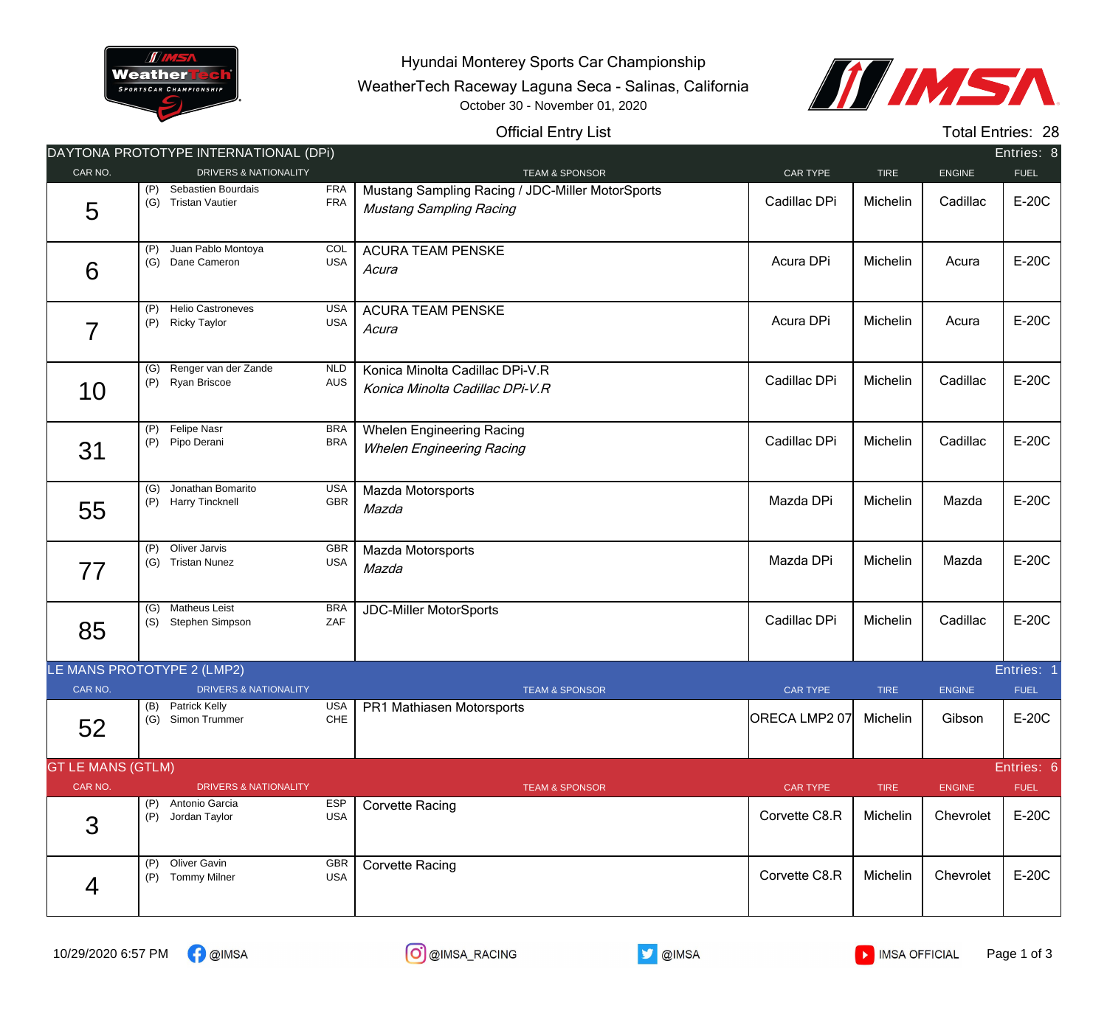

Hyundai Monterey Sports Car Championship

WeatherTech Raceway Laguna Seca - Salinas, California October 30 - November 01, 2020



## Official Entry List

Total Entries: 28

|                                        |            | DAYTONA PROTOTYPE INTERNATIONAL (DPI)           |                          |                                                                                    |                 |             |               | Entries: 8  |  |
|----------------------------------------|------------|-------------------------------------------------|--------------------------|------------------------------------------------------------------------------------|-----------------|-------------|---------------|-------------|--|
| CAR NO.                                |            | <b>DRIVERS &amp; NATIONALITY</b>                |                          | <b>TEAM &amp; SPONSOR</b>                                                          | CAR TYPE        | <b>TIRE</b> | <b>ENGINE</b> | <b>FUEL</b> |  |
| 5                                      | (P)<br>(G) | Sebastien Bourdais<br><b>Tristan Vautier</b>    | <b>FRA</b><br><b>FRA</b> | Mustang Sampling Racing / JDC-Miller MotorSports<br><b>Mustang Sampling Racing</b> | Cadillac DPi    | Michelin    | Cadillac      | E-20C       |  |
| 6                                      | (P)        | Juan Pablo Montoya<br>(G) Dane Cameron          | <b>COL</b><br><b>USA</b> | <b>ACURA TEAM PENSKE</b><br>Acura                                                  | Acura DPi       | Michelin    | Acura         | E-20C       |  |
| $\overline{7}$                         | (P)<br>(P) | <b>Helio Castroneves</b><br><b>Ricky Taylor</b> | <b>USA</b><br><b>USA</b> | <b>ACURA TEAM PENSKE</b><br>Acura                                                  | Acura DPi       | Michelin    | Acura         | E-20C       |  |
| 10                                     | (G)<br>(P) | Renger van der Zande<br>Ryan Briscoe            | <b>NLD</b><br><b>AUS</b> | Konica Minolta Cadillac DPi-V.R<br>Konica Minolta Cadillac DPi-V.R                 | Cadillac DPi    | Michelin    | Cadillac      | E-20C       |  |
| 31                                     | (P)<br>(P) | Felipe Nasr<br>Pipo Derani                      | <b>BRA</b><br><b>BRA</b> | <b>Whelen Engineering Racing</b><br><b>Whelen Engineering Racing</b>               | Cadillac DPi    | Michelin    | Cadillac      | E-20C       |  |
| 55                                     | (G)<br>(P) | Jonathan Bomarito<br><b>Harry Tincknell</b>     | <b>USA</b><br>GBR        | Mazda Motorsports<br>Mazda                                                         | Mazda DPi       | Michelin    | Mazda         | E-20C       |  |
| 77                                     | (P)        | Oliver Jarvis<br>(G) Tristan Nunez              | <b>GBR</b><br><b>USA</b> | Mazda Motorsports<br>Mazda                                                         | Mazda DPi       | Michelin    | Mazda         | E-20C       |  |
| 85                                     | (S)        | (G) Matheus Leist<br>Stephen Simpson            | <b>BRA</b><br>ZAF        | <b>JDC-Miller MotorSports</b>                                                      | Cadillac DPi    | Michelin    | Cadillac      | E-20C       |  |
| LE MANS PROTOTYPE 2 (LMP2)             |            |                                                 |                          |                                                                                    |                 |             |               | Entries:    |  |
| CAR NO.                                |            | <b>DRIVERS &amp; NATIONALITY</b>                |                          | <b>TEAM &amp; SPONSOR</b>                                                          | <b>CAR TYPE</b> | <b>TIRE</b> | <b>ENGINE</b> | <b>FUEL</b> |  |
| 52                                     | (B)        | Patrick Kelly<br>(G) Simon Trummer              | <b>USA</b><br>CHE        | PR1 Mathiasen Motorsports                                                          | ORECA LMP2 07   | Michelin    | Gibson        | E-20C       |  |
| <b>GT LE MANS (GTLM)</b><br>Entries: 6 |            |                                                 |                          |                                                                                    |                 |             |               |             |  |
| CAR NO.                                |            | <b>DRIVERS &amp; NATIONALITY</b>                |                          | <b>TEAM &amp; SPONSOR</b>                                                          | <b>CAR TYPE</b> | <b>TIRE</b> | <b>ENGINE</b> | <b>FUEL</b> |  |
| 3                                      | (P)        | Antonio Garcia<br>(P) Jordan Taylor             | <b>ESP</b><br><b>USA</b> | <b>Corvette Racing</b>                                                             | Corvette C8.R   | Michelin    | Chevrolet     | E-20C       |  |
| 4                                      | (P)<br>(P) | Oliver Gavin<br><b>Tommy Milner</b>             | GBR<br><b>USA</b>        | <b>Corvette Racing</b>                                                             | Corvette C8.R   | Michelin    | Chevrolet     | E-20C       |  |
|                                        |            |                                                 |                          |                                                                                    |                 |             |               |             |  |

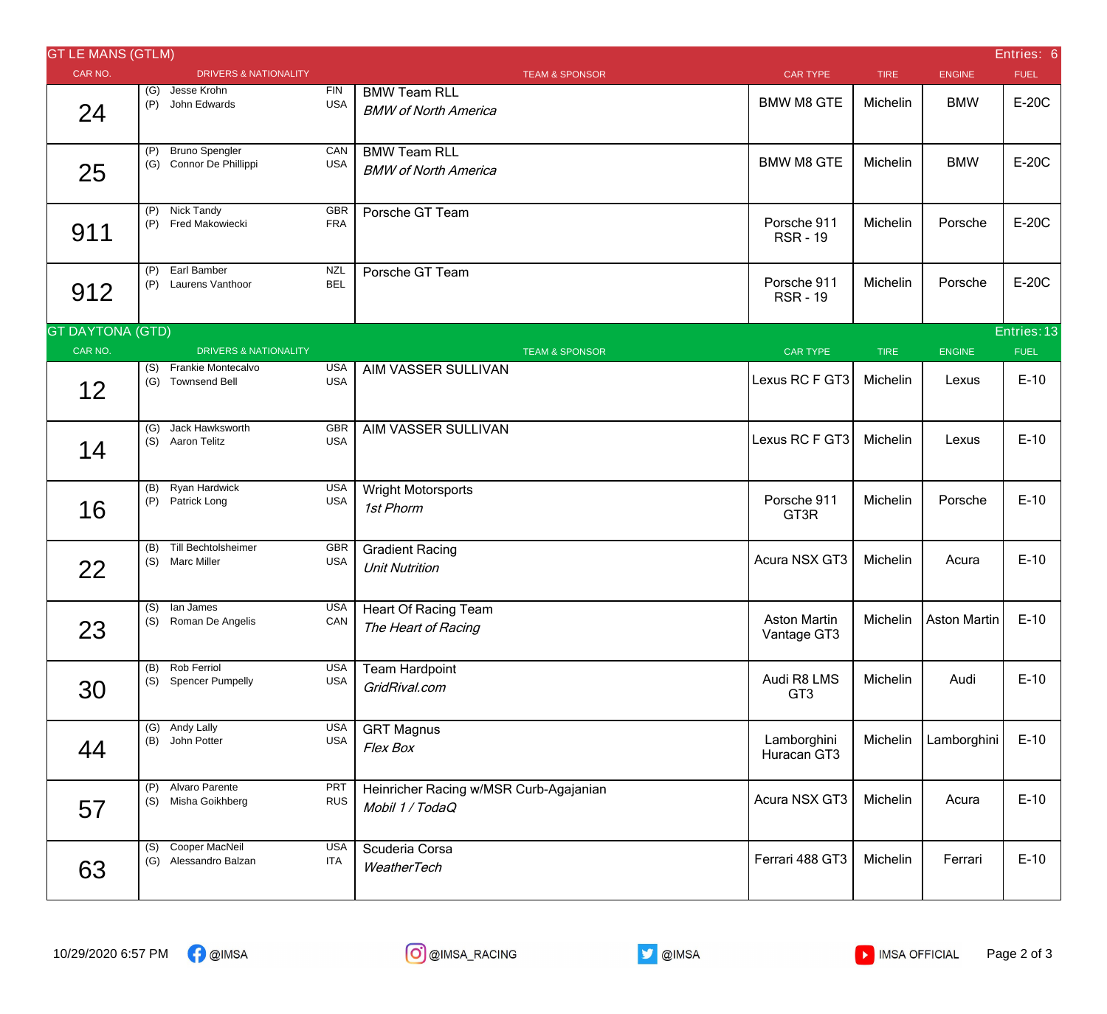| <b>GT LE MANS (GTLM)</b>               |            |                                                  |                           |                                                           |                                    |             |               | Entries: 6  |  |  |
|----------------------------------------|------------|--------------------------------------------------|---------------------------|-----------------------------------------------------------|------------------------------------|-------------|---------------|-------------|--|--|
| CAR NO.                                |            | <b>DRIVERS &amp; NATIONALITY</b>                 |                           | <b>TEAM &amp; SPONSOR</b>                                 | <b>CAR TYPE</b>                    | <b>TIRE</b> | <b>ENGINE</b> | <b>FUEL</b> |  |  |
| 24                                     |            | (G) Jesse Krohn<br>(P) John Edwards              | ${\sf FIN}$<br><b>USA</b> | <b>BMW Team RLL</b><br><b>BMW of North America</b>        | <b>BMW M8 GTE</b>                  | Michelin    | <b>BMW</b>    | E-20C       |  |  |
| 25                                     | (P)        | <b>Bruno Spengler</b><br>(G) Connor De Phillippi | CAN<br><b>USA</b>         | <b>BMW Team RLL</b><br><b>BMW of North America</b>        | <b>BMW M8 GTE</b>                  | Michelin    | <b>BMW</b>    | E-20C       |  |  |
| 911                                    |            | (P) Nick Tandy<br>(P) Fred Makowiecki            | GBR<br><b>FRA</b>         | Porsche GT Team                                           | Porsche 911<br><b>RSR-19</b>       | Michelin    | Porsche       | E-20C       |  |  |
| 912                                    | (P)        | Earl Bamber<br>(P) Laurens Vanthoor              | <b>NZL</b><br><b>BEL</b>  | Porsche GT Team                                           | Porsche 911<br><b>RSR-19</b>       | Michelin    | Porsche       | E-20C       |  |  |
| <b>GT DAYTONA (GTD)</b><br>Entries: 13 |            |                                                  |                           |                                                           |                                    |             |               |             |  |  |
| CAR NO.                                |            | <b>DRIVERS &amp; NATIONALITY</b>                 |                           | <b>TEAM &amp; SPONSOR</b>                                 | <b>CAR TYPE</b>                    | <b>TIRE</b> | <b>ENGINE</b> | <b>FUEL</b> |  |  |
| 12                                     |            | (S) Frankie Montecalvo<br>(G) Townsend Bell      | <b>USA</b><br><b>USA</b>  | AIM VASSER SULLIVAN                                       | Lexus RC F GT3                     | Michelin    | Lexus         | $E-10$      |  |  |
| 14                                     |            | (G) Jack Hawksworth<br>(S) Aaron Telitz          | <b>GBR</b><br><b>USA</b>  | AIM VASSER SULLIVAN                                       | Lexus RC F GT3                     | Michelin    | Lexus         | $E-10$      |  |  |
| 16                                     |            | (B) Ryan Hardwick<br>(P) Patrick Long            | <b>USA</b><br><b>USA</b>  | <b>Wright Motorsports</b><br>1st Phorm                    | Porsche 911<br>GT3R                | Michelin    | Porsche       | $E-10$      |  |  |
| 22                                     |            | (B) Till Bechtolsheimer<br>(S) Marc Miller       | GBR<br><b>USA</b>         | <b>Gradient Racing</b><br><b>Unit Nutrition</b>           | Acura NSX GT3                      | Michelin    | Acura         | $E-10$      |  |  |
| 23                                     |            | (S) lan James<br>(S) Roman De Angelis            | <b>USA</b><br>CAN         | <b>Heart Of Racing Team</b><br>The Heart of Racing        | <b>Aston Martin</b><br>Vantage GT3 | Michelin    | Aston Martin  | $E-10$      |  |  |
| 30                                     | (B)<br>(S) | Rob Ferriol<br><b>Spencer Pumpelly</b>           | <b>USA</b><br><b>USA</b>  | <b>Team Hardpoint</b><br>GridRival.com                    | Audi R8 LMS<br>GT <sub>3</sub>     | Michelin    | Audi          | $E-10$      |  |  |
| 44                                     | (G)        | Andy Lally<br>(B) John Potter                    | <b>USA</b><br><b>USA</b>  | <b>GRT Magnus</b><br>Flex Box                             | Lamborghini<br>Huracan GT3         | Michelin    | Lamborghini   | $E-10$      |  |  |
| 57                                     | (P)<br>(S) | Alvaro Parente<br>Misha Goikhberg                | <b>PRT</b><br><b>RUS</b>  | Heinricher Racing w/MSR Curb-Agajanian<br>Mobil 1 / TodaQ | Acura NSX GT3                      | Michelin    | Acura         | $E-10$      |  |  |
| 63                                     |            | (S) Cooper MacNeil<br>(G) Alessandro Balzan      | <b>USA</b><br>ITA         | Scuderia Corsa<br>WeatherTech                             | Ferrari 488 GT3                    | Michelin    | Ferrari       | $E-10$      |  |  |